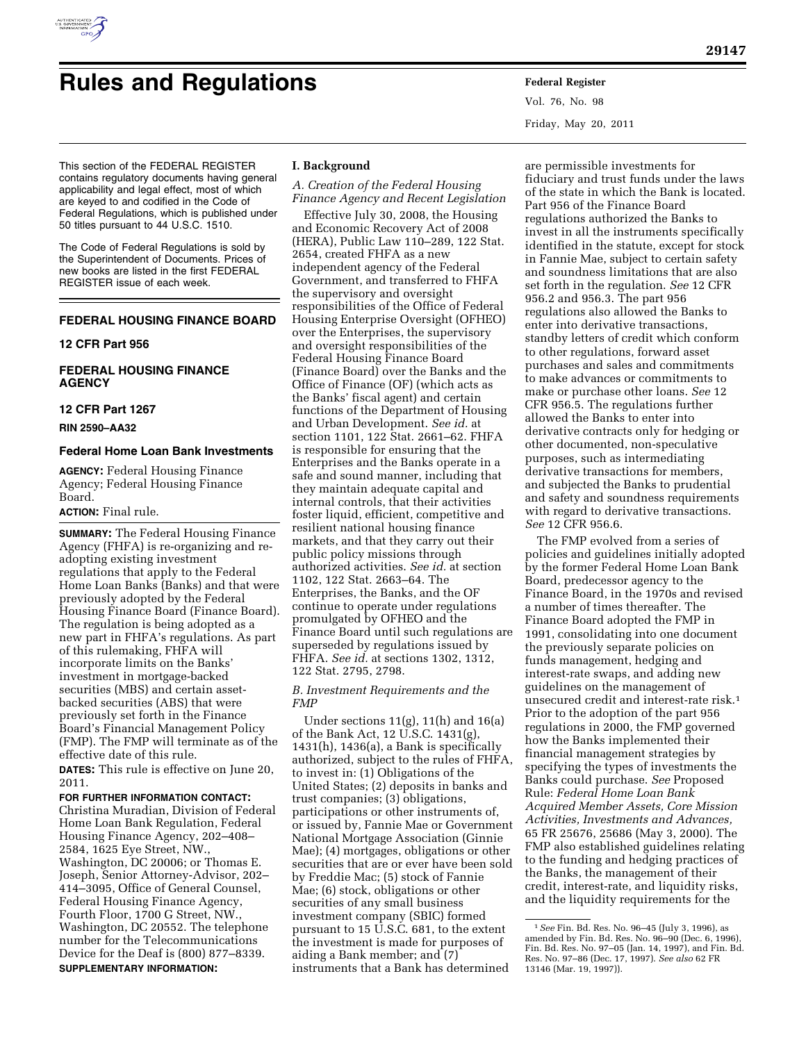

# **Rules and Regulations Federal Register**

Vol. 76, No. 98 Friday, May 20, 2011

This section of the FEDERAL REGISTER contains regulatory documents having general applicability and legal effect, most of which are keyed to and codified in the Code of Federal Regulations, which is published under 50 titles pursuant to 44 U.S.C. 1510.

The Code of Federal Regulations is sold by the Superintendent of Documents. Prices of new books are listed in the first FEDERAL REGISTER issue of each week.

# **FEDERAL HOUSING FINANCE BOARD**

# **12 CFR Part 956**

# **FEDERAL HOUSING FINANCE AGENCY**

## **12 CFR Part 1267**

**RIN 2590–AA32** 

## **Federal Home Loan Bank Investments**

**AGENCY:** Federal Housing Finance Agency; Federal Housing Finance Board.

# **ACTION:** Final rule.

**SUMMARY:** The Federal Housing Finance Agency (FHFA) is re-organizing and readopting existing investment regulations that apply to the Federal Home Loan Banks (Banks) and that were previously adopted by the Federal Housing Finance Board (Finance Board). The regulation is being adopted as a new part in FHFA's regulations. As part of this rulemaking, FHFA will incorporate limits on the Banks' investment in mortgage-backed securities (MBS) and certain assetbacked securities (ABS) that were previously set forth in the Finance Board's Financial Management Policy (FMP). The FMP will terminate as of the effective date of this rule.

**DATES:** This rule is effective on June 20, 2011.

# **FOR FURTHER INFORMATION CONTACT:**

Christina Muradian, Division of Federal Home Loan Bank Regulation, Federal Housing Finance Agency, 202–408– 2584, 1625 Eye Street, NW., Washington, DC 20006; or Thomas E. Joseph, Senior Attorney-Advisor, 202– 414–3095, Office of General Counsel, Federal Housing Finance Agency, Fourth Floor, 1700 G Street, NW., Washington, DC 20552. The telephone number for the Telecommunications Device for the Deaf is (800) 877–8339. **SUPPLEMENTARY INFORMATION:** 

# **I. Background**

*A. Creation of the Federal Housing Finance Agency and Recent Legislation* 

Effective July 30, 2008, the Housing and Economic Recovery Act of 2008 (HERA), Public Law 110–289, 122 Stat. 2654, created FHFA as a new independent agency of the Federal Government, and transferred to FHFA the supervisory and oversight responsibilities of the Office of Federal Housing Enterprise Oversight (OFHEO) over the Enterprises, the supervisory and oversight responsibilities of the Federal Housing Finance Board (Finance Board) over the Banks and the Office of Finance (OF) (which acts as the Banks' fiscal agent) and certain functions of the Department of Housing and Urban Development. *See id.* at section 1101, 122 Stat. 2661–62. FHFA is responsible for ensuring that the Enterprises and the Banks operate in a safe and sound manner, including that they maintain adequate capital and internal controls, that their activities foster liquid, efficient, competitive and resilient national housing finance markets, and that they carry out their public policy missions through authorized activities. *See id.* at section 1102, 122 Stat. 2663–64. The Enterprises, the Banks, and the OF continue to operate under regulations promulgated by OFHEO and the Finance Board until such regulations are superseded by regulations issued by FHFA. *See id.* at sections 1302, 1312, 122 Stat. 2795, 2798.

## *B. Investment Requirements and the FMP*

Under sections 11(g), 11(h) and 16(a) of the Bank Act, 12 U.S.C. 1431(g), 1431(h), 1436(a), a Bank is specifically authorized, subject to the rules of FHFA, to invest in: (1) Obligations of the United States; (2) deposits in banks and trust companies; (3) obligations, participations or other instruments of, or issued by, Fannie Mae or Government National Mortgage Association (Ginnie Mae); (4) mortgages, obligations or other securities that are or ever have been sold by Freddie Mac; (5) stock of Fannie Mae; (6) stock, obligations or other securities of any small business investment company (SBIC) formed pursuant to 15 U.S.C. 681, to the extent the investment is made for purposes of aiding a Bank member; and (7) instruments that a Bank has determined

are permissible investments for fiduciary and trust funds under the laws of the state in which the Bank is located. Part 956 of the Finance Board regulations authorized the Banks to invest in all the instruments specifically identified in the statute, except for stock in Fannie Mae, subject to certain safety and soundness limitations that are also set forth in the regulation. *See* 12 CFR 956.2 and 956.3. The part 956 regulations also allowed the Banks to enter into derivative transactions, standby letters of credit which conform to other regulations, forward asset purchases and sales and commitments to make advances or commitments to make or purchase other loans. *See* 12 CFR 956.5. The regulations further allowed the Banks to enter into derivative contracts only for hedging or other documented, non-speculative purposes, such as intermediating derivative transactions for members, and subjected the Banks to prudential and safety and soundness requirements with regard to derivative transactions. *See* 12 CFR 956.6.

The FMP evolved from a series of policies and guidelines initially adopted by the former Federal Home Loan Bank Board, predecessor agency to the Finance Board, in the 1970s and revised a number of times thereafter. The Finance Board adopted the FMP in 1991, consolidating into one document the previously separate policies on funds management, hedging and interest-rate swaps, and adding new guidelines on the management of unsecured credit and interest-rate risk.1 Prior to the adoption of the part 956 regulations in 2000, the FMP governed how the Banks implemented their financial management strategies by specifying the types of investments the Banks could purchase. *See* Proposed Rule: *Federal Home Loan Bank Acquired Member Assets, Core Mission Activities, Investments and Advances,*  65 FR 25676, 25686 (May 3, 2000). The FMP also established guidelines relating to the funding and hedging practices of the Banks, the management of their credit, interest-rate, and liquidity risks, and the liquidity requirements for the

<sup>1</sup>*See* Fin. Bd. Res. No. 96–45 (July 3, 1996), as amended by Fin. Bd. Res. No. 96–90 (Dec. 6, 1996), Fin. Bd. Res. No. 97–05 (Jan. 14, 1997), and Fin. Bd. Res. No. 97–86 (Dec. 17, 1997). *See also* 62 FR 13146 (Mar. 19, 1997)).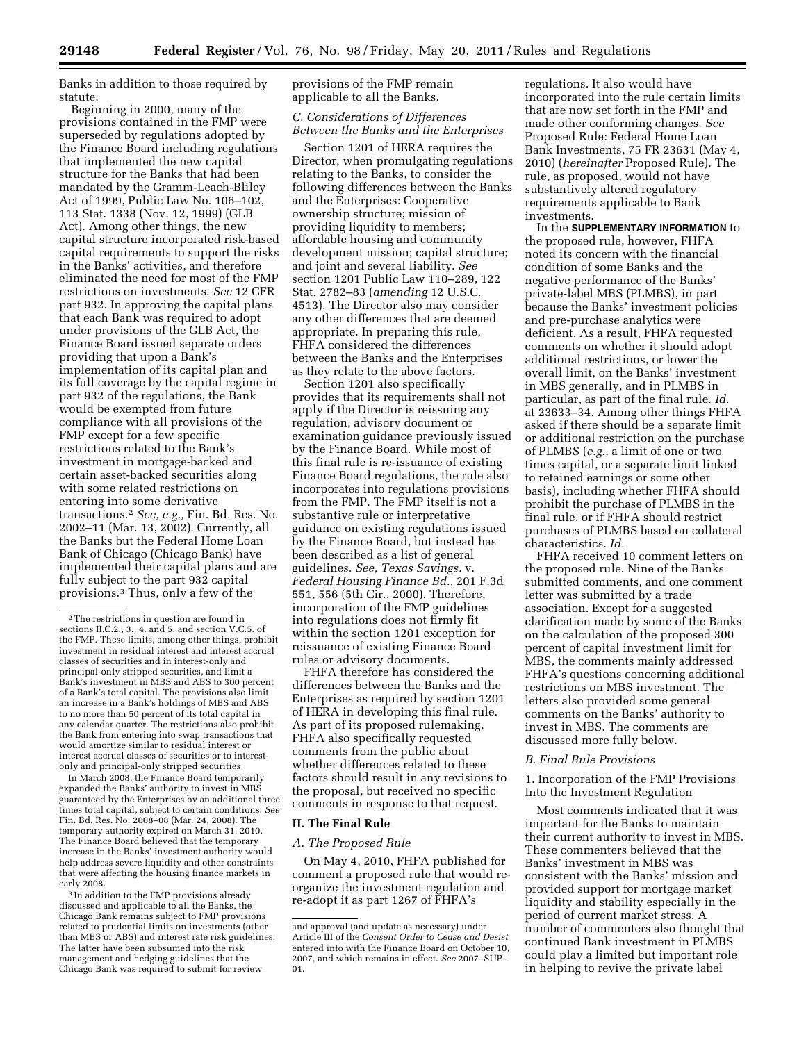Banks in addition to those required by statute.

Beginning in 2000, many of the provisions contained in the FMP were superseded by regulations adopted by the Finance Board including regulations that implemented the new capital structure for the Banks that had been mandated by the Gramm-Leach-Bliley Act of 1999, Public Law No. 106–102, 113 Stat. 1338 (Nov. 12, 1999) (GLB Act). Among other things, the new capital structure incorporated risk-based capital requirements to support the risks in the Banks' activities, and therefore eliminated the need for most of the FMP restrictions on investments. *See* 12 CFR part 932. In approving the capital plans that each Bank was required to adopt under provisions of the GLB Act, the Finance Board issued separate orders providing that upon a Bank's implementation of its capital plan and its full coverage by the capital regime in part 932 of the regulations, the Bank would be exempted from future compliance with all provisions of the FMP except for a few specific restrictions related to the Bank's investment in mortgage-backed and certain asset-backed securities along with some related restrictions on entering into some derivative transactions.2 *See, e.g.,* Fin. Bd. Res. No. 2002–11 (Mar. 13, 2002). Currently, all the Banks but the Federal Home Loan Bank of Chicago (Chicago Bank) have implemented their capital plans and are fully subject to the part 932 capital provisions.3 Thus, only a few of the

In March 2008, the Finance Board temporarily expanded the Banks' authority to invest in MBS guaranteed by the Enterprises by an additional three times total capital, subject to certain conditions. *See*  Fin. Bd. Res. No. 2008–08 (Mar. 24, 2008). The temporary authority expired on March 31, 2010. The Finance Board believed that the temporary increase in the Banks' investment authority would help address severe liquidity and other constraints that were affecting the housing finance markets in early 2008.

<sup>3</sup> In addition to the FMP provisions already discussed and applicable to all the Banks, the Chicago Bank remains subject to FMP provisions related to prudential limits on investments (other than MBS or ABS) and interest rate risk guidelines. The latter have been subsumed into the risk management and hedging guidelines that the Chicago Bank was required to submit for review

provisions of the FMP remain applicable to all the Banks.

# *C. Considerations of Differences Between the Banks and the Enterprises*

Section 1201 of HERA requires the Director, when promulgating regulations relating to the Banks, to consider the following differences between the Banks and the Enterprises: Cooperative ownership structure; mission of providing liquidity to members; affordable housing and community development mission; capital structure; and joint and several liability. *See*  section 1201 Public Law 110–289, 122 Stat. 2782–83 (*amending* 12 U.S.C. 4513). The Director also may consider any other differences that are deemed appropriate. In preparing this rule, FHFA considered the differences between the Banks and the Enterprises as they relate to the above factors.

Section 1201 also specifically provides that its requirements shall not apply if the Director is reissuing any regulation, advisory document or examination guidance previously issued by the Finance Board. While most of this final rule is re-issuance of existing Finance Board regulations, the rule also incorporates into regulations provisions from the FMP. The FMP itself is not a substantive rule or interpretative guidance on existing regulations issued by the Finance Board, but instead has been described as a list of general guidelines. *See, Texas Savings.* v. *Federal Housing Finance Bd.,* 201 F.3d 551, 556 (5th Cir., 2000). Therefore, incorporation of the FMP guidelines into regulations does not firmly fit within the section 1201 exception for reissuance of existing Finance Board rules or advisory documents.

FHFA therefore has considered the differences between the Banks and the Enterprises as required by section 1201 of HERA in developing this final rule. As part of its proposed rulemaking, FHFA also specifically requested comments from the public about whether differences related to these factors should result in any revisions to the proposal, but received no specific comments in response to that request.

# **II. The Final Rule**

# *A. The Proposed Rule*

On May 4, 2010, FHFA published for comment a proposed rule that would reorganize the investment regulation and re-adopt it as part 1267 of FHFA's

regulations. It also would have incorporated into the rule certain limits that are now set forth in the FMP and made other conforming changes. *See*  Proposed Rule: Federal Home Loan Bank Investments, 75 FR 23631 (May 4, 2010) (*hereinafter* Proposed Rule). The rule, as proposed, would not have substantively altered regulatory requirements applicable to Bank investments.

In the **SUPPLEMENTARY INFORMATION** to the proposed rule, however, FHFA noted its concern with the financial condition of some Banks and the negative performance of the Banks' private-label MBS (PLMBS), in part because the Banks' investment policies and pre-purchase analytics were deficient. As a result, FHFA requested comments on whether it should adopt additional restrictions, or lower the overall limit, on the Banks' investment in MBS generally, and in PLMBS in particular, as part of the final rule. *Id.*  at 23633–34. Among other things FHFA asked if there should be a separate limit or additional restriction on the purchase of PLMBS (*e.g.,* a limit of one or two times capital, or a separate limit linked to retained earnings or some other basis), including whether FHFA should prohibit the purchase of PLMBS in the final rule, or if FHFA should restrict purchases of PLMBS based on collateral characteristics. *Id.* 

FHFA received 10 comment letters on the proposed rule. Nine of the Banks submitted comments, and one comment letter was submitted by a trade association. Except for a suggested clarification made by some of the Banks on the calculation of the proposed 300 percent of capital investment limit for MBS, the comments mainly addressed FHFA's questions concerning additional restrictions on MBS investment. The letters also provided some general comments on the Banks' authority to invest in MBS. The comments are discussed more fully below.

## *B. Final Rule Provisions*

1. Incorporation of the FMP Provisions Into the Investment Regulation

Most comments indicated that it was important for the Banks to maintain their current authority to invest in MBS. These commenters believed that the Banks' investment in MBS was consistent with the Banks' mission and provided support for mortgage market liquidity and stability especially in the period of current market stress. A number of commenters also thought that continued Bank investment in PLMBS could play a limited but important role in helping to revive the private label

<sup>2</sup>The restrictions in question are found in sections II.C.2., 3., 4. and 5. and section V.C.5. of the FMP. These limits, among other things, prohibit investment in residual interest and interest accrual classes of securities and in interest-only and principal-only stripped securities, and limit a Bank's investment in MBS and ABS to 300 percent of a Bank's total capital. The provisions also limit an increase in a Bank's holdings of MBS and ABS to no more than 50 percent of its total capital in any calendar quarter. The restrictions also prohibit the Bank from entering into swap transactions that would amortize similar to residual interest or interest accrual classes of securities or to interestonly and principal-only stripped securities.

and approval (and update as necessary) under Article III of the *Consent Order to Cease and Desist*  entered into with the Finance Board on October 10, 2007, and which remains in effect. *See* 2007–SUP– 01.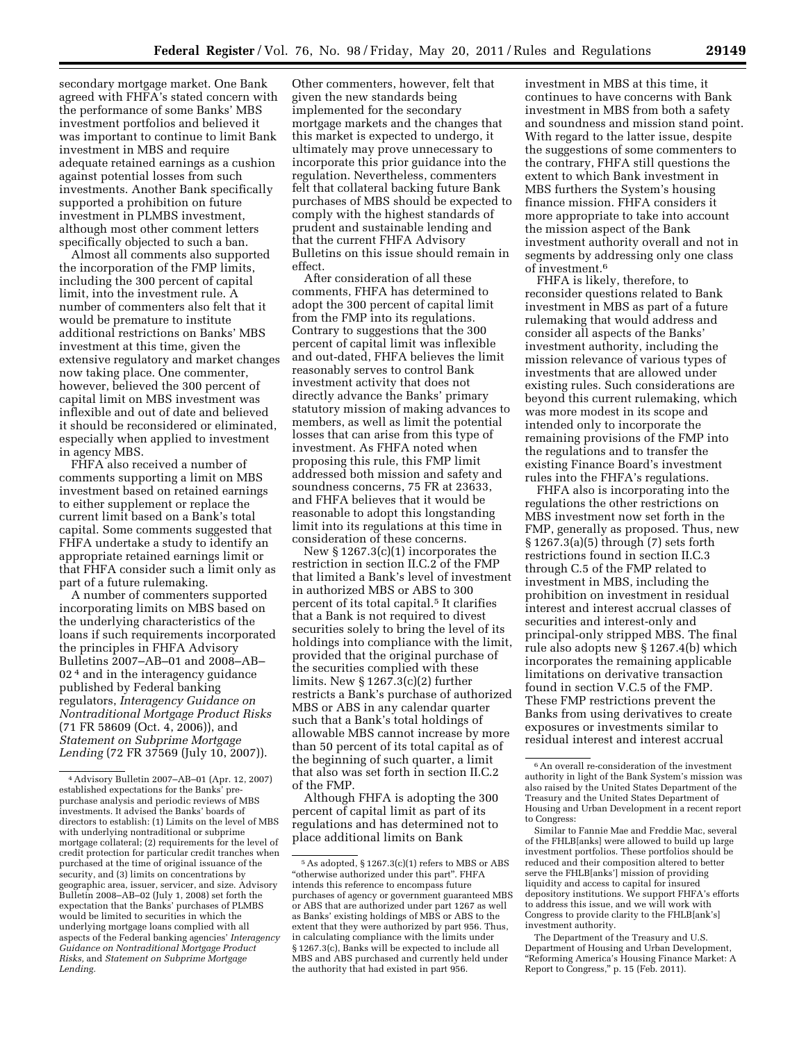secondary mortgage market. One Bank agreed with FHFA's stated concern with the performance of some Banks' MBS investment portfolios and believed it was important to continue to limit Bank investment in MBS and require adequate retained earnings as a cushion against potential losses from such investments. Another Bank specifically supported a prohibition on future investment in PLMBS investment, although most other comment letters specifically objected to such a ban.

Almost all comments also supported the incorporation of the FMP limits, including the 300 percent of capital limit, into the investment rule. A number of commenters also felt that it would be premature to institute additional restrictions on Banks' MBS investment at this time, given the extensive regulatory and market changes now taking place. One commenter, however, believed the 300 percent of capital limit on MBS investment was inflexible and out of date and believed it should be reconsidered or eliminated, especially when applied to investment in agency MBS.

FHFA also received a number of comments supporting a limit on MBS investment based on retained earnings to either supplement or replace the current limit based on a Bank's total capital. Some comments suggested that FHFA undertake a study to identify an appropriate retained earnings limit or that FHFA consider such a limit only as part of a future rulemaking.

A number of commenters supported incorporating limits on MBS based on the underlying characteristics of the loans if such requirements incorporated the principles in FHFA Advisory Bulletins 2007–AB–01 and 2008–AB– 02<sup>4</sup> and in the interagency guidance published by Federal banking regulators, *Interagency Guidance on Nontraditional Mortgage Product Risks*  (71 FR 58609 (Oct. 4, 2006)), and *Statement on Subprime Mortgage Lending* (72 FR 37569 (July 10, 2007)).

Other commenters, however, felt that given the new standards being implemented for the secondary mortgage markets and the changes that this market is expected to undergo, it ultimately may prove unnecessary to incorporate this prior guidance into the regulation. Nevertheless, commenters felt that collateral backing future Bank purchases of MBS should be expected to comply with the highest standards of prudent and sustainable lending and that the current FHFA Advisory Bulletins on this issue should remain in effect.

After consideration of all these comments, FHFA has determined to adopt the 300 percent of capital limit from the FMP into its regulations. Contrary to suggestions that the 300 percent of capital limit was inflexible and out-dated, FHFA believes the limit reasonably serves to control Bank investment activity that does not directly advance the Banks' primary statutory mission of making advances to members, as well as limit the potential losses that can arise from this type of investment. As FHFA noted when proposing this rule, this FMP limit addressed both mission and safety and soundness concerns, 75 FR at 23633, and FHFA believes that it would be reasonable to adopt this longstanding limit into its regulations at this time in consideration of these concerns.

New § 1267.3(c)(1) incorporates the restriction in section II.C.2 of the FMP that limited a Bank's level of investment in authorized MBS or ABS to 300 percent of its total capital.5 It clarifies that a Bank is not required to divest securities solely to bring the level of its holdings into compliance with the limit, provided that the original purchase of the securities complied with these limits. New § 1267.3(c)(2) further restricts a Bank's purchase of authorized MBS or ABS in any calendar quarter such that a Bank's total holdings of allowable MBS cannot increase by more than 50 percent of its total capital as of the beginning of such quarter, a limit that also was set forth in section II.C.2 of the FMP.

Although FHFA is adopting the 300 percent of capital limit as part of its regulations and has determined not to place additional limits on Bank

investment in MBS at this time, it continues to have concerns with Bank investment in MBS from both a safety and soundness and mission stand point. With regard to the latter issue, despite the suggestions of some commenters to the contrary, FHFA still questions the extent to which Bank investment in MBS furthers the System's housing finance mission. FHFA considers it more appropriate to take into account the mission aspect of the Bank investment authority overall and not in segments by addressing only one class of investment.6

FHFA is likely, therefore, to reconsider questions related to Bank investment in MBS as part of a future rulemaking that would address and consider all aspects of the Banks' investment authority, including the mission relevance of various types of investments that are allowed under existing rules. Such considerations are beyond this current rulemaking, which was more modest in its scope and intended only to incorporate the remaining provisions of the FMP into the regulations and to transfer the existing Finance Board's investment rules into the FHFA's regulations.

FHFA also is incorporating into the regulations the other restrictions on MBS investment now set forth in the FMP, generally as proposed. Thus, new § 1267.3(a)(5) through (7) sets forth restrictions found in section II.C.3 through C.5 of the FMP related to investment in MBS, including the prohibition on investment in residual interest and interest accrual classes of securities and interest-only and principal-only stripped MBS. The final rule also adopts new § 1267.4(b) which incorporates the remaining applicable limitations on derivative transaction found in section V.C.5 of the FMP. These FMP restrictions prevent the Banks from using derivatives to create exposures or investments similar to residual interest and interest accrual

The Department of the Treasury and U.S. Department of Housing and Urban Development, ''Reforming America's Housing Finance Market: A Report to Congress,'' p. 15 (Feb. 2011).

<sup>4</sup>Advisory Bulletin 2007–AB–01 (Apr. 12, 2007) established expectations for the Banks' prepurchase analysis and periodic reviews of MBS investments. It advised the Banks' boards of directors to establish: (1) Limits on the level of MBS with underlying nontraditional or subprime mortgage collateral; (2) requirements for the level of credit protection for particular credit tranches when purchased at the time of original issuance of the security, and (3) limits on concentrations by geographic area, issuer, servicer, and size. Advisory Bulletin 2008–AB–02 (July 1, 2008) set forth the expectation that the Banks' purchases of PLMBS would be limited to securities in which the underlying mortgage loans complied with all aspects of the Federal banking agencies' *Interagency Guidance on Nontraditional Mortgage Product Risks,* and *Statement on Subprime Mortgage Lending.* 

<sup>5</sup>As adopted, § 1267.3(c)(1) refers to MBS or ABS "otherwise authorized under this part". FHFA intends this reference to encompass future purchases of agency or government guaranteed MBS or ABS that are authorized under part 1267 as well as Banks' existing holdings of MBS or ABS to the extent that they were authorized by part 956. Thus, in calculating compliance with the limits under § 1267.3(c), Banks will be expected to include all MBS and ABS purchased and currently held under the authority that had existed in part 956.

 $^{\rm 6}$  An overall re-consideration of the investment authority in light of the Bank System's mission was also raised by the United States Department of the Treasury and the United States Department of Housing and Urban Development in a recent report to Congress:

Similar to Fannie Mae and Freddie Mac, several of the FHLB[anks] were allowed to build up large investment portfolios. These portfolios should be reduced and their composition altered to better serve the FHLB[anks'] mission of providing liquidity and access to capital for insured depository institutions. We support FHFA's efforts to address this issue, and we will work with Congress to provide clarity to the FHLB[ank's] investment authority.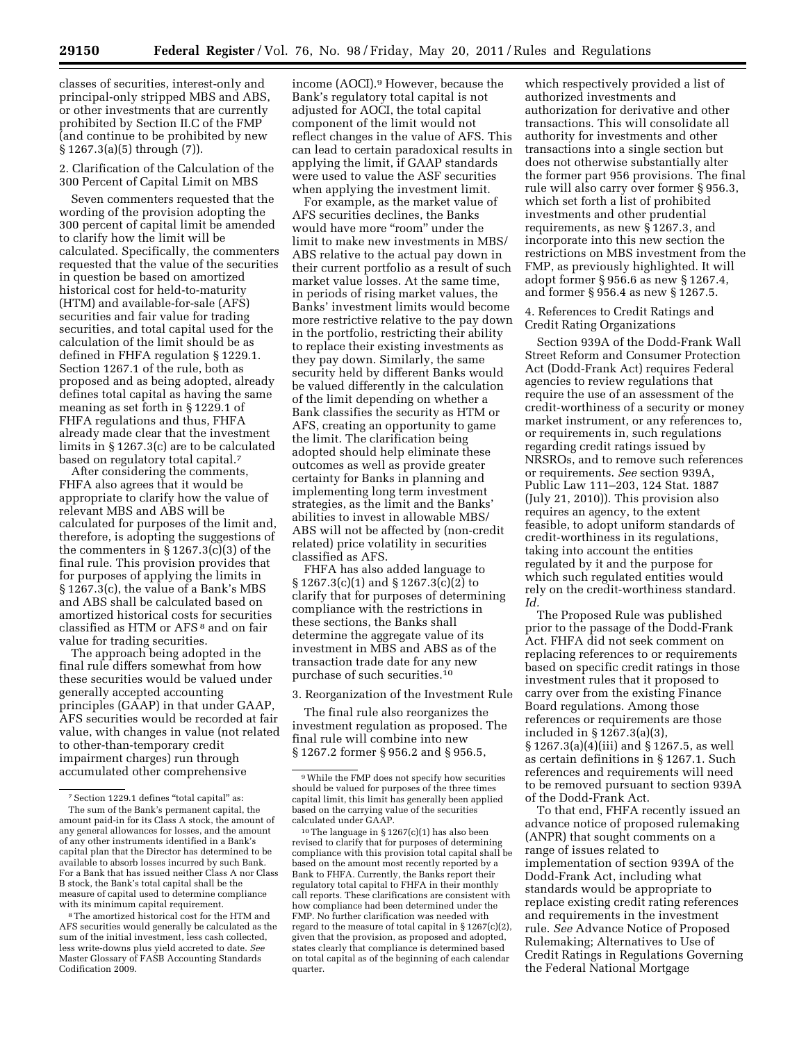classes of securities, interest-only and principal-only stripped MBS and ABS, or other investments that are currently prohibited by Section II.C of the FMP (and continue to be prohibited by new § 1267.3(a)(5) through (7)).

2. Clarification of the Calculation of the 300 Percent of Capital Limit on MBS

Seven commenters requested that the wording of the provision adopting the 300 percent of capital limit be amended to clarify how the limit will be calculated. Specifically, the commenters requested that the value of the securities in question be based on amortized historical cost for held-to-maturity (HTM) and available-for-sale (AFS) securities and fair value for trading securities, and total capital used for the calculation of the limit should be as defined in FHFA regulation § 1229.1. Section 1267.1 of the rule, both as proposed and as being adopted, already defines total capital as having the same meaning as set forth in § 1229.1 of FHFA regulations and thus, FHFA already made clear that the investment limits in § 1267.3(c) are to be calculated based on regulatory total capital.7

After considering the comments, FHFA also agrees that it would be appropriate to clarify how the value of relevant MBS and ABS will be calculated for purposes of the limit and, therefore, is adopting the suggestions of the commenters in § 1267.3(c)(3) of the final rule. This provision provides that for purposes of applying the limits in § 1267.3(c), the value of a Bank's MBS and ABS shall be calculated based on amortized historical costs for securities classified as HTM or AFS 8 and on fair value for trading securities.

The approach being adopted in the final rule differs somewhat from how these securities would be valued under generally accepted accounting principles (GAAP) in that under GAAP, AFS securities would be recorded at fair value, with changes in value (not related to other-than-temporary credit impairment charges) run through accumulated other comprehensive

income (AOCI).9 However, because the Bank's regulatory total capital is not adjusted for AOCI, the total capital component of the limit would not reflect changes in the value of AFS. This can lead to certain paradoxical results in applying the limit, if GAAP standards were used to value the ASF securities when applying the investment limit.

For example, as the market value of AFS securities declines, the Banks would have more "room" under the limit to make new investments in MBS/ ABS relative to the actual pay down in their current portfolio as a result of such market value losses. At the same time, in periods of rising market values, the Banks' investment limits would become more restrictive relative to the pay down in the portfolio, restricting their ability to replace their existing investments as they pay down. Similarly, the same security held by different Banks would be valued differently in the calculation of the limit depending on whether a Bank classifies the security as HTM or AFS, creating an opportunity to game the limit. The clarification being adopted should help eliminate these outcomes as well as provide greater certainty for Banks in planning and implementing long term investment strategies, as the limit and the Banks' abilities to invest in allowable MBS/ ABS will not be affected by (non-credit related) price volatility in securities classified as AFS.

FHFA has also added language to § 1267.3(c)(1) and § 1267.3(c)(2) to clarify that for purposes of determining compliance with the restrictions in these sections, the Banks shall determine the aggregate value of its investment in MBS and ABS as of the transaction trade date for any new purchase of such securities.10

3. Reorganization of the Investment Rule

The final rule also reorganizes the investment regulation as proposed. The final rule will combine into new § 1267.2 former § 956.2 and § 956.5,

which respectively provided a list of authorized investments and authorization for derivative and other transactions. This will consolidate all authority for investments and other transactions into a single section but does not otherwise substantially alter the former part 956 provisions. The final rule will also carry over former § 956.3, which set forth a list of prohibited investments and other prudential requirements, as new § 1267.3, and incorporate into this new section the restrictions on MBS investment from the FMP, as previously highlighted. It will adopt former § 956.6 as new § 1267.4, and former § 956.4 as new § 1267.5.

4. References to Credit Ratings and Credit Rating Organizations

Section 939A of the Dodd-Frank Wall Street Reform and Consumer Protection Act (Dodd-Frank Act) requires Federal agencies to review regulations that require the use of an assessment of the credit-worthiness of a security or money market instrument, or any references to, or requirements in, such regulations regarding credit ratings issued by NRSROs, and to remove such references or requirements. *See* section 939A, Public Law 111–203, 124 Stat. 1887 (July 21, 2010)). This provision also requires an agency, to the extent feasible, to adopt uniform standards of credit-worthiness in its regulations, taking into account the entities regulated by it and the purpose for which such regulated entities would rely on the credit-worthiness standard. *Id.* 

The Proposed Rule was published prior to the passage of the Dodd-Frank Act. FHFA did not seek comment on replacing references to or requirements based on specific credit ratings in those investment rules that it proposed to carry over from the existing Finance Board regulations. Among those references or requirements are those included in § 1267.3(a)(3), § 1267.3(a)(4)(iii) and § 1267.5, as well as certain definitions in § 1267.1. Such references and requirements will need to be removed pursuant to section 939A of the Dodd-Frank Act.

To that end, FHFA recently issued an advance notice of proposed rulemaking (ANPR) that sought comments on a range of issues related to implementation of section 939A of the Dodd-Frank Act, including what standards would be appropriate to replace existing credit rating references and requirements in the investment rule. *See* Advance Notice of Proposed Rulemaking; Alternatives to Use of Credit Ratings in Regulations Governing the Federal National Mortgage

<sup>7</sup>Section 1229.1 defines ''total capital'' as: The sum of the Bank's permanent capital, the amount paid-in for its Class A stock, the amount of any general allowances for losses, and the amount of any other instruments identified in a Bank's capital plan that the Director has determined to be available to absorb losses incurred by such Bank. For a Bank that has issued neither Class A nor Class B stock, the Bank's total capital shall be the measure of capital used to determine compliance with its minimum capital requirement.

<sup>8</sup>The amortized historical cost for the HTM and AFS securities would generally be calculated as the sum of the initial investment, less cash collected, less write-downs plus yield accreted to date. *See*  Master Glossary of FASB Accounting Standards Codification 2009.

<sup>9</sup>While the FMP does not specify how securities should be valued for purposes of the three times capital limit, this limit has generally been applied based on the carrying value of the securities calculated under GAAP.

<sup>10</sup>The language in § 1267(c)(1) has also been revised to clarify that for purposes of determining compliance with this provision total capital shall be based on the amount most recently reported by a Bank to FHFA. Currently, the Banks report their regulatory total capital to FHFA in their monthly call reports. These clarifications are consistent with how compliance had been determined under the FMP. No further clarification was needed with regard to the measure of total capital in § 1267(c)(2), given that the provision, as proposed and adopted, states clearly that compliance is determined based on total capital as of the beginning of each calendar quarter.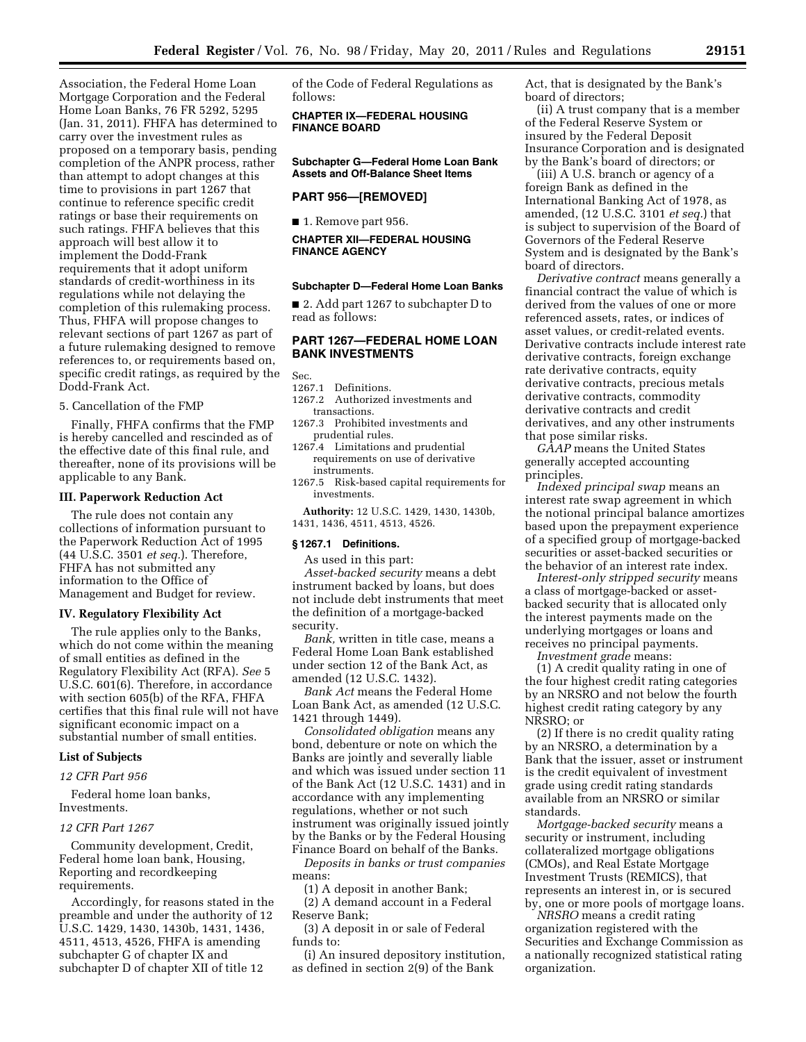Association, the Federal Home Loan Mortgage Corporation and the Federal Home Loan Banks, 76 FR 5292, 5295 (Jan. 31, 2011). FHFA has determined to carry over the investment rules as proposed on a temporary basis, pending completion of the ANPR process, rather than attempt to adopt changes at this time to provisions in part 1267 that continue to reference specific credit ratings or base their requirements on such ratings. FHFA believes that this approach will best allow it to implement the Dodd-Frank requirements that it adopt uniform standards of credit-worthiness in its regulations while not delaying the completion of this rulemaking process. Thus, FHFA will propose changes to relevant sections of part 1267 as part of a future rulemaking designed to remove references to, or requirements based on, specific credit ratings, as required by the Dodd-Frank Act.

5. Cancellation of the FMP

Finally, FHFA confirms that the FMP is hereby cancelled and rescinded as of the effective date of this final rule, and thereafter, none of its provisions will be applicable to any Bank.

### **III. Paperwork Reduction Act**

The rule does not contain any collections of information pursuant to the Paperwork Reduction Act of 1995 (44 U.S.C. 3501 *et seq.*). Therefore, FHFA has not submitted any information to the Office of Management and Budget for review.

#### **IV. Regulatory Flexibility Act**

The rule applies only to the Banks, which do not come within the meaning of small entities as defined in the Regulatory Flexibility Act (RFA). *See* 5 U.S.C. 601(6). Therefore, in accordance with section 605(b) of the RFA, FHFA certifies that this final rule will not have significant economic impact on a substantial number of small entities.

#### **List of Subjects**

*12 CFR Part 956* 

Federal home loan banks, Investments.

#### *12 CFR Part 1267*

Community development, Credit, Federal home loan bank, Housing, Reporting and recordkeeping requirements.

Accordingly, for reasons stated in the preamble and under the authority of 12 U.S.C. 1429, 1430, 1430b, 1431, 1436, 4511, 4513, 4526, FHFA is amending subchapter G of chapter IX and subchapter D of chapter XII of title 12

of the Code of Federal Regulations as follows:

**CHAPTER IX—FEDERAL HOUSING FINANCE BOARD** 

**Subchapter G—Federal Home Loan Bank Assets and Off-Balance Sheet Items** 

#### **PART 956—[REMOVED]**

■ 1. Remove part 956.

**CHAPTER XII—FEDERAL HOUSING FINANCE AGENCY** 

#### **Subchapter D—Federal Home Loan Banks**

■ 2. Add part 1267 to subchapter D to read as follows:

# **PART 1267—FEDERAL HOME LOAN BANK INVESTMENTS**

Sec.

- 1267.1 Definitions.
- 1267.2 Authorized investments and transactions.
- 1267.3 Prohibited investments and prudential rules.
- 1267.4 Limitations and prudential requirements on use of derivative instruments.
- 1267.5 Risk-based capital requirements for investments.

**Authority:** 12 U.S.C. 1429, 1430, 1430b, 1431, 1436, 4511, 4513, 4526.

#### **§ 1267.1 Definitions.**

As used in this part:

*Asset-backed security* means a debt instrument backed by loans, but does not include debt instruments that meet the definition of a mortgage-backed security.

*Bank,* written in title case, means a Federal Home Loan Bank established under section 12 of the Bank Act, as amended (12 U.S.C. 1432).

*Bank Act* means the Federal Home Loan Bank Act, as amended (12 U.S.C. 1421 through 1449).

*Consolidated obligation* means any bond, debenture or note on which the Banks are jointly and severally liable and which was issued under section 11 of the Bank Act (12 U.S.C. 1431) and in accordance with any implementing regulations, whether or not such instrument was originally issued jointly by the Banks or by the Federal Housing Finance Board on behalf of the Banks.

*Deposits in banks or trust companies*  means:

(1) A deposit in another Bank;

(2) A demand account in a Federal Reserve Bank;

(3) A deposit in or sale of Federal funds to:

(i) An insured depository institution, as defined in section 2(9) of the Bank

Act, that is designated by the Bank's board of directors;

(ii) A trust company that is a member of the Federal Reserve System or insured by the Federal Deposit Insurance Corporation and is designated by the Bank's board of directors; or

(iii) A U.S. branch or agency of a foreign Bank as defined in the International Banking Act of 1978, as amended, (12 U.S.C. 3101 *et seq.*) that is subject to supervision of the Board of Governors of the Federal Reserve System and is designated by the Bank's board of directors.

*Derivative contract* means generally a financial contract the value of which is derived from the values of one or more referenced assets, rates, or indices of asset values, or credit-related events. Derivative contracts include interest rate derivative contracts, foreign exchange rate derivative contracts, equity derivative contracts, precious metals derivative contracts, commodity derivative contracts and credit derivatives, and any other instruments that pose similar risks.

*GAAP* means the United States generally accepted accounting principles.

*Indexed principal swap* means an interest rate swap agreement in which the notional principal balance amortizes based upon the prepayment experience of a specified group of mortgage-backed securities or asset-backed securities or the behavior of an interest rate index.

*Interest-only stripped security* means a class of mortgage-backed or assetbacked security that is allocated only the interest payments made on the underlying mortgages or loans and receives no principal payments.

*Investment grade* means:

(1) A credit quality rating in one of the four highest credit rating categories by an NRSRO and not below the fourth highest credit rating category by any NRSRO; or

(2) If there is no credit quality rating by an NRSRO, a determination by a Bank that the issuer, asset or instrument is the credit equivalent of investment grade using credit rating standards available from an NRSRO or similar standards.

*Mortgage-backed security* means a security or instrument, including collateralized mortgage obligations (CMOs), and Real Estate Mortgage Investment Trusts (REMICS), that represents an interest in, or is secured by, one or more pools of mortgage loans.

*NRSRO* means a credit rating organization registered with the Securities and Exchange Commission as a nationally recognized statistical rating organization.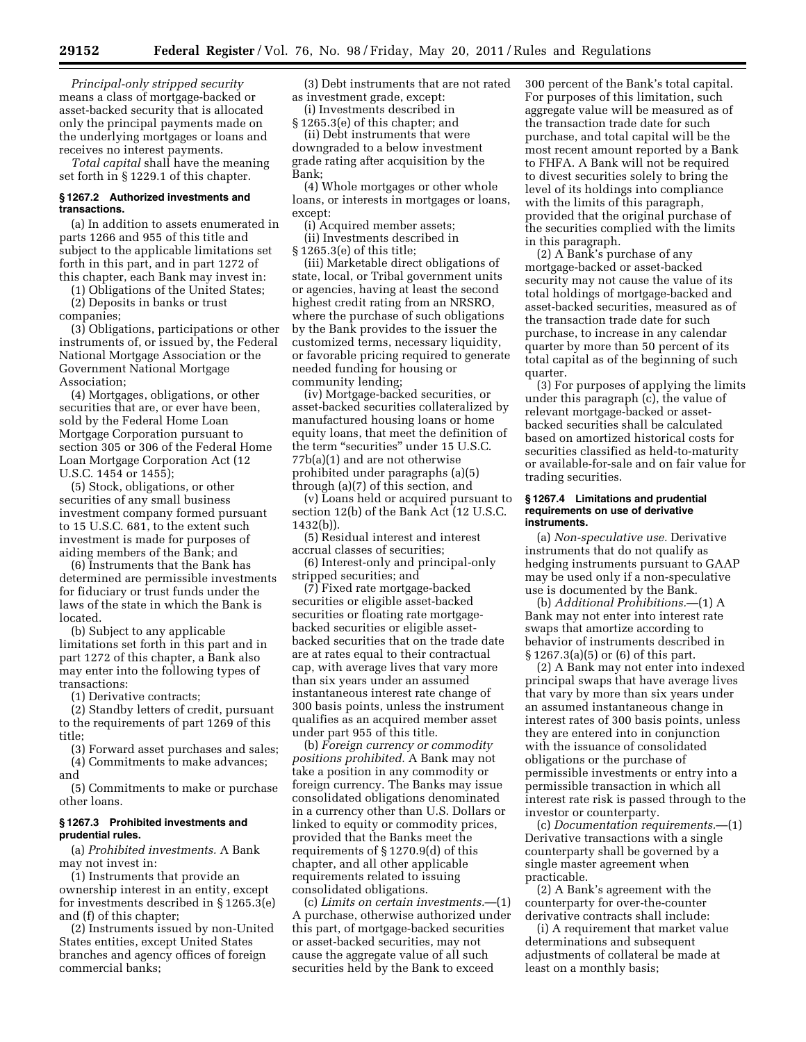*Principal-only stripped security*  means a class of mortgage-backed or asset-backed security that is allocated only the principal payments made on the underlying mortgages or loans and receives no interest payments.

*Total capital* shall have the meaning set forth in § 1229.1 of this chapter.

# **§ 1267.2 Authorized investments and transactions.**

(a) In addition to assets enumerated in parts 1266 and 955 of this title and subject to the applicable limitations set forth in this part, and in part 1272 of this chapter, each Bank may invest in:

(1) Obligations of the United States;

(2) Deposits in banks or trust companies;

(3) Obligations, participations or other instruments of, or issued by, the Federal National Mortgage Association or the Government National Mortgage Association;

(4) Mortgages, obligations, or other securities that are, or ever have been, sold by the Federal Home Loan Mortgage Corporation pursuant to section 305 or 306 of the Federal Home Loan Mortgage Corporation Act (12 U.S.C. 1454 or 1455);

(5) Stock, obligations, or other securities of any small business investment company formed pursuant to 15 U.S.C. 681, to the extent such investment is made for purposes of aiding members of the Bank; and

(6) Instruments that the Bank has determined are permissible investments for fiduciary or trust funds under the laws of the state in which the Bank is located.

(b) Subject to any applicable limitations set forth in this part and in part 1272 of this chapter, a Bank also may enter into the following types of transactions:

(1) Derivative contracts;

(2) Standby letters of credit, pursuant to the requirements of part 1269 of this title;

(3) Forward asset purchases and sales; (4) Commitments to make advances;

and

(5) Commitments to make or purchase other loans.

# **§ 1267.3 Prohibited investments and prudential rules.**

(a) *Prohibited investments.* A Bank may not invest in:

(1) Instruments that provide an ownership interest in an entity, except for investments described in § 1265.3(e) and (f) of this chapter;

(2) Instruments issued by non-United States entities, except United States branches and agency offices of foreign commercial banks;

(3) Debt instruments that are not rated as investment grade, except:

(i) Investments described in

§ 1265.3(e) of this chapter; and (ii) Debt instruments that were

downgraded to a below investment grade rating after acquisition by the Bank;

(4) Whole mortgages or other whole loans, or interests in mortgages or loans, except:

(i) Acquired member assets;

(ii) Investments described in § 1265.3(e) of this title;

(iii) Marketable direct obligations of state, local, or Tribal government units or agencies, having at least the second highest credit rating from an NRSRO, where the purchase of such obligations by the Bank provides to the issuer the customized terms, necessary liquidity, or favorable pricing required to generate needed funding for housing or community lending;

(iv) Mortgage-backed securities, or asset-backed securities collateralized by manufactured housing loans or home equity loans, that meet the definition of the term "securities" under 15 U.S.C. 77b(a)(1) and are not otherwise prohibited under paragraphs (a)(5) through (a)(7) of this section, and

(v) Loans held or acquired pursuant to section 12(b) of the Bank Act (12 U.S.C. 1432(b)).

(5) Residual interest and interest accrual classes of securities;

(6) Interest-only and principal-only stripped securities; and

(7) Fixed rate mortgage-backed securities or eligible asset-backed securities or floating rate mortgagebacked securities or eligible assetbacked securities that on the trade date are at rates equal to their contractual cap, with average lives that vary more than six years under an assumed instantaneous interest rate change of 300 basis points, unless the instrument qualifies as an acquired member asset under part 955 of this title.

(b) *Foreign currency or commodity positions prohibited.* A Bank may not take a position in any commodity or foreign currency. The Banks may issue consolidated obligations denominated in a currency other than U.S. Dollars or linked to equity or commodity prices, provided that the Banks meet the requirements of § 1270.9(d) of this chapter, and all other applicable requirements related to issuing consolidated obligations.

(c) *Limits on certain investments.*—(1) A purchase, otherwise authorized under this part, of mortgage-backed securities or asset-backed securities, may not cause the aggregate value of all such securities held by the Bank to exceed

300 percent of the Bank's total capital. For purposes of this limitation, such aggregate value will be measured as of the transaction trade date for such purchase, and total capital will be the most recent amount reported by a Bank to FHFA. A Bank will not be required to divest securities solely to bring the level of its holdings into compliance with the limits of this paragraph, provided that the original purchase of the securities complied with the limits in this paragraph.

(2) A Bank's purchase of any mortgage-backed or asset-backed security may not cause the value of its total holdings of mortgage-backed and asset-backed securities, measured as of the transaction trade date for such purchase, to increase in any calendar quarter by more than 50 percent of its total capital as of the beginning of such quarter.

(3) For purposes of applying the limits under this paragraph (c), the value of relevant mortgage-backed or assetbacked securities shall be calculated based on amortized historical costs for securities classified as held-to-maturity or available-for-sale and on fair value for trading securities.

#### **§ 1267.4 Limitations and prudential requirements on use of derivative instruments.**

(a) *Non-speculative use.* Derivative instruments that do not qualify as hedging instruments pursuant to GAAP may be used only if a non-speculative use is documented by the Bank.

(b) *Additional Prohibitions.*—(1) A Bank may not enter into interest rate swaps that amortize according to behavior of instruments described in § 1267.3(a)(5) or (6) of this part.

(2) A Bank may not enter into indexed principal swaps that have average lives that vary by more than six years under an assumed instantaneous change in interest rates of 300 basis points, unless they are entered into in conjunction with the issuance of consolidated obligations or the purchase of permissible investments or entry into a permissible transaction in which all interest rate risk is passed through to the investor or counterparty.

(c) *Documentation requirements.*—(1) Derivative transactions with a single counterparty shall be governed by a single master agreement when practicable.

(2) A Bank's agreement with the counterparty for over-the-counter derivative contracts shall include:

(i) A requirement that market value determinations and subsequent adjustments of collateral be made at least on a monthly basis;